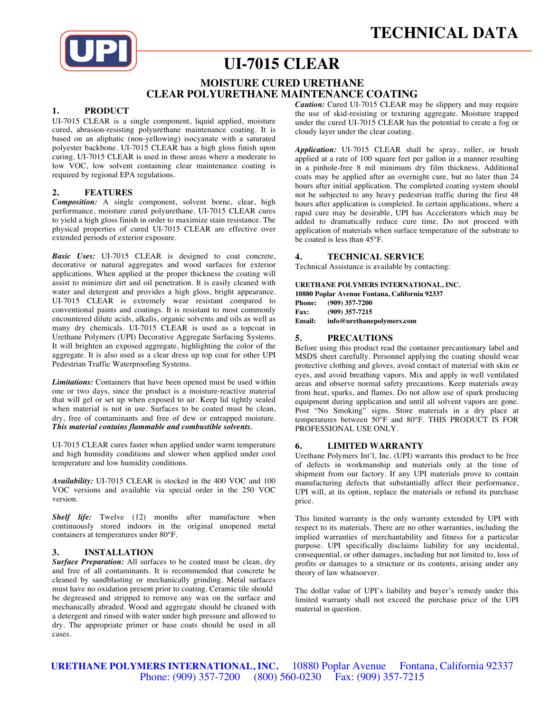

# **UI-7015 CLEAR**

# **MOISTURE CURED URETHANE CLEAR POLYURETHANE MAINTENANCE COATING**

# **1. PRODUCT**

UI-7015 CLEAR is a single component, liquid applied, moisture cured, abrasion-resisting polyurethane maintenance coating. It is based on an aliphatic (non-yellowing) isocyanate with a saturated polyester backbone. UI-7015 CLEAR has a high gloss finish upon curing. UI-7015 CLEAR is used in those areas where a moderate to low VOC, low solvent containing clear maintenance coating is required by regional EPA regulations.

## **2. FEATURES**

*Composition:* A single component, solvent borne, clear, high performance, moisture cured polyurethane. UI-7015 CLEAR cures to yield a high gloss finish in order to maximize stain resistance. The physical properties of cured UI-7015 CLEAR are effective over extended periods of exterior exposure.

*Basic Uses:* UI-7015 CLEAR is designed to coat concrete, decorative or natural aggregates and wood surfaces for exterior applications. When applied at the proper thickness the coating will assist to minimize dirt and oil penetration. It is easily cleaned with water and detergent and provides a high gloss, bright appearance. UI-7015 CLEAR is extremely wear resistant compared to conventional paints and coatings. It is resistant to most commonly encountered dilute acids, alkalis, organic solvents and oils as well as many dry chemicals. UI-7015 CLEAR is used as a topcoat in Urethane Polymers (UPI) Decorative Aggregate Surfacing Systems. It will brighten an exposed aggregate, highlighting the color of the aggregate. It is also used as a clear dress up top coat for other UPI Pedestrian Traffic Waterproofing Systems.

*Limitations:* Containers that have been opened must be used within one or two days, since the product is a moisture-reactive material that will gel or set up when exposed to air. Keep lid tightly sealed when material is not in use. Surfaces to be coated must be clean, dry, free of contaminants and free of dew or entrapped moisture. *This material contains flammable and combustible solvents.*

UI-7015 CLEAR cures faster when applied under warm temperature and high humidity conditions and slower when applied under cool temperature and low humidity conditions.

*Availability:* UI-7015 CLEAR is stocked in the 400 VOC and 100 VOC versions and available via special order in the 250 VOC version.

*Shelf life:* Twelve (12) months after manufacture when continuously stored indoors in the original unopened metal containers at temperatures under 80°F.

#### **3. INSTALLATION**

*Surface Preparation:* All surfaces to be coated must be clean, dry and free of all contaminants. It is recommended that concrete be cleaned by sandblasting or mechanically grinding. Metal surfaces must have no oxidation present prior to coating. Ceramic tile should be degreased and stripped to remove any wax on the surface and mechanically abraded. Wood and aggregate should be cleaned with a detergent and rinsed with water under high pressure and allowed to dry. The appropriate primer or base coats should be used in all cases.

*Caution:* Cured UI-7015 CLEAR may be slippery and may require the use of skid-resisting or texturing aggregate. Moisture trapped under the cured UI-7015 CLEAR has the potential to create a fog or cloudy layer under the clear coating.

*Application:* UI-7015 CLEAR shall be spray, roller, or brush applied at a rate of 100 square feet per gallon in a manner resulting in a pinhole-free 8 mil minimum dry film thickness. Additional coats may be applied after an overnight cure, but no later than 24 hours after initial application. The completed coating system should not be subjected to any heavy pedestrian traffic during the first 48 hours after application is completed. In certain applications, where a rapid cure may be desirable, UPI has Accelerators which may be added to dramatically reduce cure time. Do not proceed with application of materials when surface temperature of the substrate to be coated is less than 45°F.

#### **4. TECHNICAL SERVICE**

Technical Assistance is available by contacting:

#### **URETHANE POLYMERS INTERNATIONAL, INC.**

**10880 Poplar Avenue Fontana, California 92337 Phone: (909) 357-7200**

**Fax: (909) 357-7215 Email: info@urethanepolymers.com**

## **5. PRECAUTIONS**

Before using this product read the container precautionary label and MSDS sheet carefully. Personnel applying the coating should wear protective clothing and gloves, avoid contact of material with skin or eyes, and avoid breathing vapors. Mix and apply in well ventilated areas and observe normal safety precautions. Keep materials away from heat, sparks, and flames. Do not allow use of spark producing equipment during application and until all solvent vapors are gone. Post "No Smoking" signs. Store materials in a dry place at temperatures between 50°F and 80°F. THIS PRODUCT IS FOR PROFESSIONAL USE ONLY.

# **6. LIMITED WARRANTY**

Urethane Polymers Int'l, Inc. (UPI) warrants this product to be free of defects in workmanship and materials only at the time of shipment from our factory. If any UPI materials prove to contain manufacturing defects that substantially affect their performance, UPI will, at its option, replace the materials or refund its purchase price.

This limited warranty is the only warranty extended by UPI with respect to its materials. There are no other warranties, including the implied warranties of merchantability and fitness for a particular purpose. UPI specifically disclaims liability for any incidental, consequential, or other damages, including but not limited to, loss of profits or damages to a structure or its contents, arising under any theory of law whatsoever.

The dollar value of UPI's liability and buyer's remedy under this limited warranty shall not exceed the purchase price of the UPI material in question.

**URETHANE POLYMERS INTERNATIONAL, INC.** 10880 Poplar Avenue Fontana, California 92337 Phone: (909) 357-7200 (800) 560-0230 Fax: (909) 357-7215